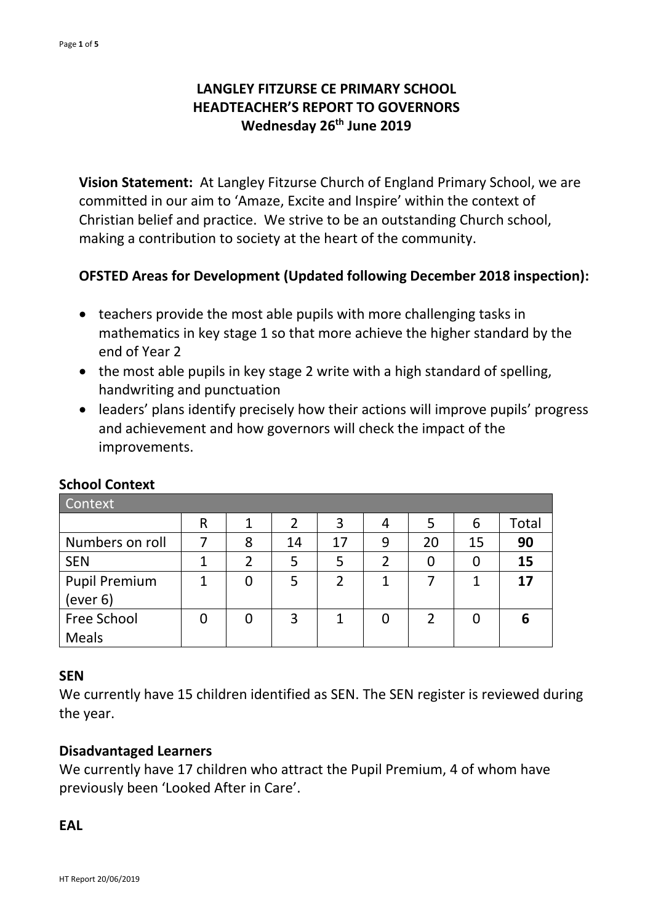# **LANGLEY FITZURSE CE PRIMARY SCHOOL HEADTEACHER'S REPORT TO GOVERNORS Wednesday 26th June 2019**

**Vision Statement:** At Langley Fitzurse Church of England Primary School, we are committed in our aim to 'Amaze, Excite and Inspire' within the context of Christian belief and practice. We strive to be an outstanding Church school, making a contribution to society at the heart of the community.

## **OFSTED Areas for Development (Updated following December 2018 inspection):**

- teachers provide the most able pupils with more challenging tasks in mathematics in key stage 1 so that more achieve the higher standard by the end of Year 2
- the most able pupils in key stage 2 write with a high standard of spelling, handwriting and punctuation
- leaders' plans identify precisely how their actions will improve pupils' progress and achievement and how governors will check the impact of the improvements.

| Context              |   |             |    |    |                |    |    |       |
|----------------------|---|-------------|----|----|----------------|----|----|-------|
|                      | R |             |    | 3  |                | 5  | 6  | Total |
| Numbers on roll      |   | 8           | 14 | 17 | 9              | 20 | 15 | 90    |
| <b>SEN</b>           |   | 2           |    | 5  | $\overline{2}$ |    |    | 15    |
| <b>Pupil Premium</b> |   | 0           |    | 2  |                |    |    | 17    |
| (ever 6)             |   |             |    |    |                |    |    |       |
| Free School          |   | $\mathbf 0$ | 3  |    | 0              |    |    | 6     |
| Meals                |   |             |    |    |                |    |    |       |

## **School Context**

#### **SEN**

We currently have 15 children identified as SEN. The SEN register is reviewed during the year.

## **Disadvantaged Learners**

We currently have 17 children who attract the Pupil Premium, 4 of whom have previously been 'Looked After in Care'.

## **EAL**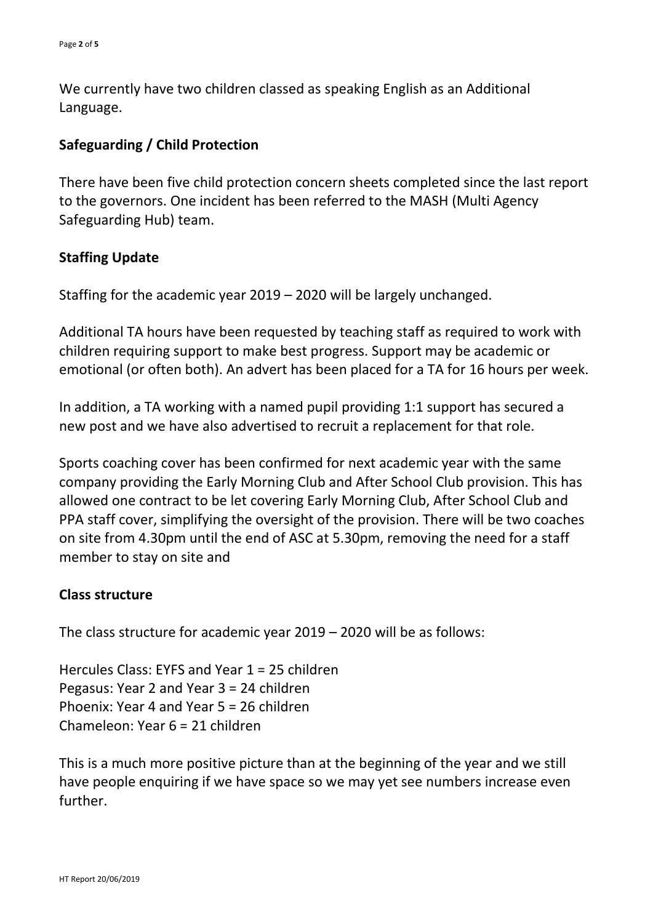We currently have two children classed as speaking English as an Additional Language.

## **Safeguarding / Child Protection**

There have been five child protection concern sheets completed since the last report to the governors. One incident has been referred to the MASH (Multi Agency Safeguarding Hub) team.

## **Staffing Update**

Staffing for the academic year 2019 – 2020 will be largely unchanged.

Additional TA hours have been requested by teaching staff as required to work with children requiring support to make best progress. Support may be academic or emotional (or often both). An advert has been placed for a TA for 16 hours per week.

In addition, a TA working with a named pupil providing 1:1 support has secured a new post and we have also advertised to recruit a replacement for that role.

Sports coaching cover has been confirmed for next academic year with the same company providing the Early Morning Club and After School Club provision. This has allowed one contract to be let covering Early Morning Club, After School Club and PPA staff cover, simplifying the oversight of the provision. There will be two coaches on site from 4.30pm until the end of ASC at 5.30pm, removing the need for a staff member to stay on site and

## **Class structure**

The class structure for academic year 2019 – 2020 will be as follows:

Hercules Class: EYFS and Year 1 = 25 children Pegasus: Year 2 and Year 3 = 24 children Phoenix: Year 4 and Year 5 = 26 children Chameleon: Year 6 = 21 children

This is a much more positive picture than at the beginning of the year and we still have people enquiring if we have space so we may yet see numbers increase even further.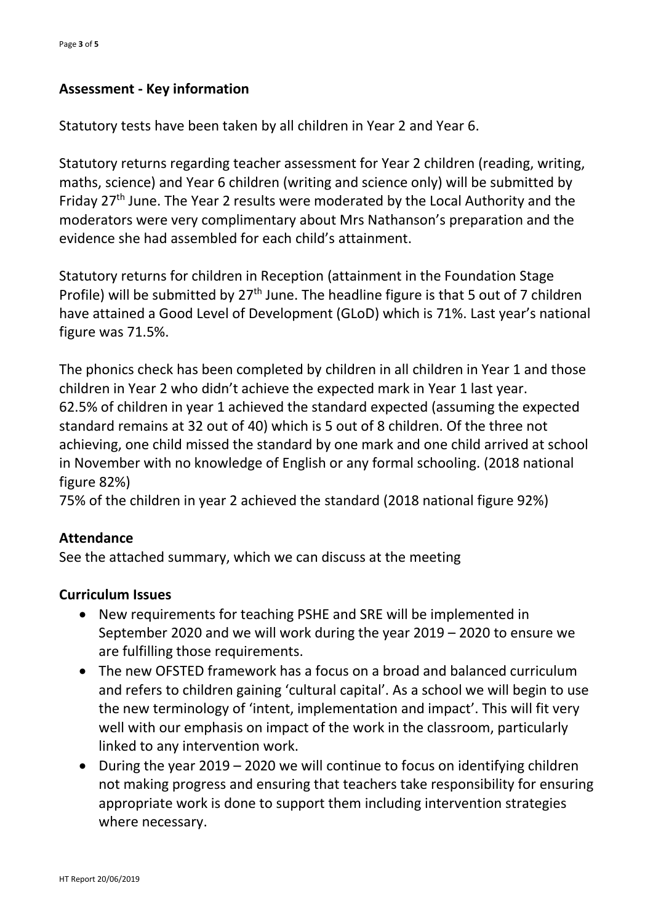## **Assessment - Key information**

Statutory tests have been taken by all children in Year 2 and Year 6.

Statutory returns regarding teacher assessment for Year 2 children (reading, writing, maths, science) and Year 6 children (writing and science only) will be submitted by Friday 27<sup>th</sup> June. The Year 2 results were moderated by the Local Authority and the moderators were very complimentary about Mrs Nathanson's preparation and the evidence she had assembled for each child's attainment.

Statutory returns for children in Reception (attainment in the Foundation Stage Profile) will be submitted by 27<sup>th</sup> June. The headline figure is that 5 out of 7 children have attained a Good Level of Development (GLoD) which is 71%. Last year's national figure was 71.5%.

The phonics check has been completed by children in all children in Year 1 and those children in Year 2 who didn't achieve the expected mark in Year 1 last year. 62.5% of children in year 1 achieved the standard expected (assuming the expected standard remains at 32 out of 40) which is 5 out of 8 children. Of the three not achieving, one child missed the standard by one mark and one child arrived at school in November with no knowledge of English or any formal schooling. (2018 national figure 82%)

75% of the children in year 2 achieved the standard (2018 national figure 92%)

### **Attendance**

See the attached summary, which we can discuss at the meeting

### **Curriculum Issues**

- New requirements for teaching PSHE and SRE will be implemented in September 2020 and we will work during the year 2019 – 2020 to ensure we are fulfilling those requirements.
- The new OFSTED framework has a focus on a broad and balanced curriculum and refers to children gaining 'cultural capital'. As a school we will begin to use the new terminology of 'intent, implementation and impact'. This will fit very well with our emphasis on impact of the work in the classroom, particularly linked to any intervention work.
- During the year 2019 2020 we will continue to focus on identifying children not making progress and ensuring that teachers take responsibility for ensuring appropriate work is done to support them including intervention strategies where necessary.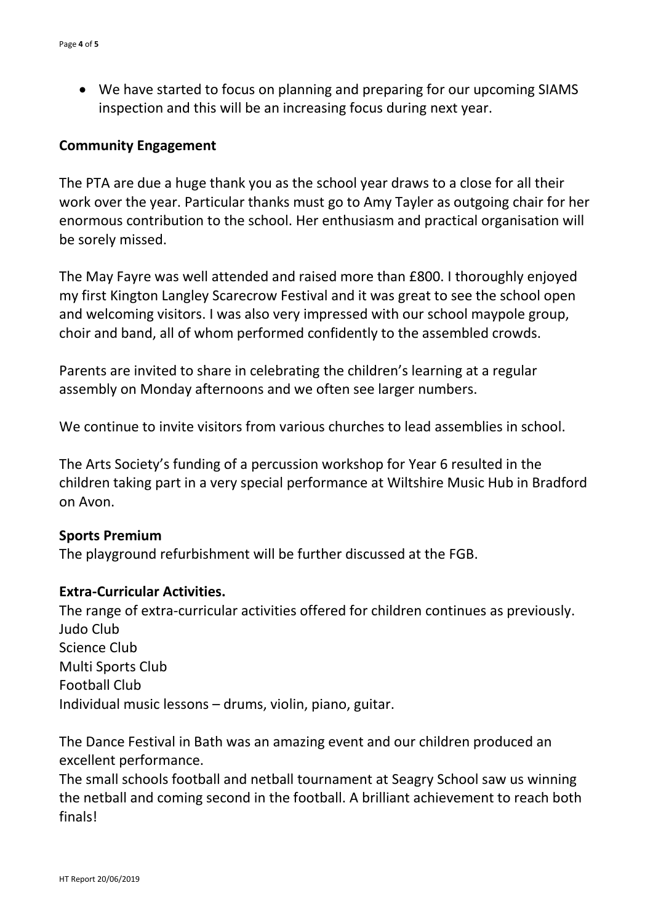We have started to focus on planning and preparing for our upcoming SIAMS inspection and this will be an increasing focus during next year.

#### **Community Engagement**

The PTA are due a huge thank you as the school year draws to a close for all their work over the year. Particular thanks must go to Amy Tayler as outgoing chair for her enormous contribution to the school. Her enthusiasm and practical organisation will be sorely missed.

The May Fayre was well attended and raised more than £800. I thoroughly enjoyed my first Kington Langley Scarecrow Festival and it was great to see the school open and welcoming visitors. I was also very impressed with our school maypole group, choir and band, all of whom performed confidently to the assembled crowds.

Parents are invited to share in celebrating the children's learning at a regular assembly on Monday afternoons and we often see larger numbers.

We continue to invite visitors from various churches to lead assemblies in school.

The Arts Society's funding of a percussion workshop for Year 6 resulted in the children taking part in a very special performance at Wiltshire Music Hub in Bradford on Avon.

#### **Sports Premium**

The playground refurbishment will be further discussed at the FGB.

### **Extra-Curricular Activities.**

The range of extra-curricular activities offered for children continues as previously. Judo Club Science Club Multi Sports Club Football Club Individual music lessons – drums, violin, piano, guitar.

The Dance Festival in Bath was an amazing event and our children produced an excellent performance.

The small schools football and netball tournament at Seagry School saw us winning the netball and coming second in the football. A brilliant achievement to reach both finals!